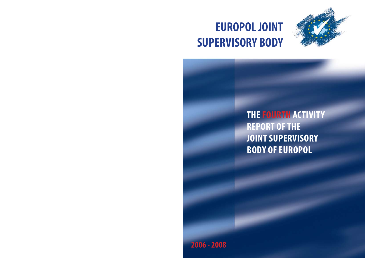# **EUROPOL JOINT SUPERVISORY BODY**



# **THE FOURTH ACTIVITY REPORT OF THE JOINT SUPERVISORY BODY OF EUROPOL**

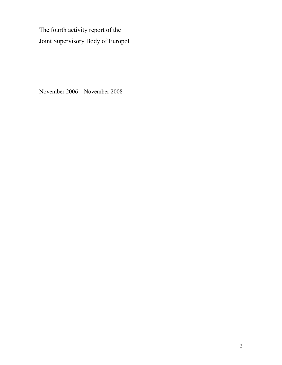The fourth activity report of the Joint Supervisory Body of Europol

November 2006 – November 2008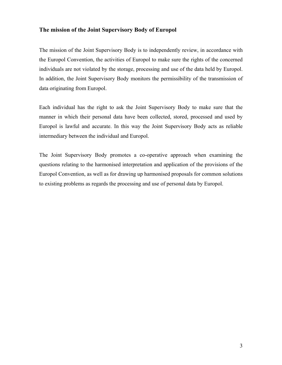#### **The mission of the Joint Supervisory Body of Europol**

The mission of the Joint Supervisory Body is to independently review, in accordance with the Europol Convention, the activities of Europol to make sure the rights of the concerned individuals are not violated by the storage, processing and use of the data held by Europol. In addition, the Joint Supervisory Body monitors the permissibility of the transmission of data originating from Europol.

Each individual has the right to ask the Joint Supervisory Body to make sure that the manner in which their personal data have been collected, stored, processed and used by Europol is lawful and accurate. In this way the Joint Supervisory Body acts as reliable intermediary between the individual and Europol.

The Joint Supervisory Body promotes a co-operative approach when examining the questions relating to the harmonised interpretation and application of the provisions of the Europol Convention, as well as for drawing up harmonised proposals for common solutions to existing problems as regards the processing and use of personal data by Europol.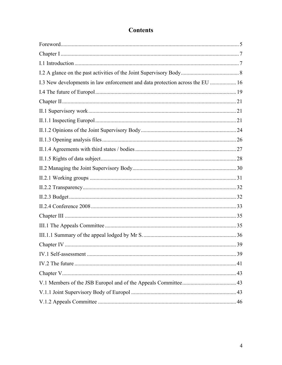| I.3 New developments in law enforcement and data protection across the EU  16 |  |
|-------------------------------------------------------------------------------|--|
|                                                                               |  |
|                                                                               |  |
|                                                                               |  |
|                                                                               |  |
|                                                                               |  |
|                                                                               |  |
|                                                                               |  |
|                                                                               |  |
|                                                                               |  |
|                                                                               |  |
|                                                                               |  |
|                                                                               |  |
|                                                                               |  |
|                                                                               |  |
|                                                                               |  |
|                                                                               |  |
|                                                                               |  |
|                                                                               |  |
|                                                                               |  |
|                                                                               |  |
|                                                                               |  |
|                                                                               |  |
|                                                                               |  |

### **Contents**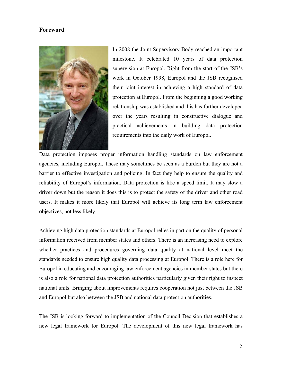#### <span id="page-4-0"></span>**Foreword**



In 2008 the Joint Supervisory Body reached an important milestone. It celebrated 10 years of data protection supervision at Europol. Right from the start of the JSB's work in October 1998, Europol and the JSB recognised their joint interest in achieving a high standard of data protection at Europol. From the beginning a good working relationship was established and this has further developed over the years resulting in constructive dialogue and practical achievements in building data protection requirements into the daily work of Europol.

Data protection imposes proper information handling standards on law enforcement agencies, including Europol. These may sometimes be seen as a burden but they are not a barrier to effective investigation and policing. In fact they help to ensure the quality and reliability of Europol's information. Data protection is like a speed limit. It may slow a driver down but the reason it does this is to protect the safety of the driver and other road users. It makes it more likely that Europol will achieve its long term law enforcement objectives, not less likely.

Achieving high data protection standards at Europol relies in part on the quality of personal information received from member states and others. There is an increasing need to explore whether practices and procedures governing data quality at national level meet the standards needed to ensure high quality data processing at Europol. There is a role here for Europol in educating and encouraging law enforcement agencies in member states but there is also a role for national data protection authorities particularly given their right to inspect national units. Bringing about improvements requires cooperation not just between the JSB and Europol but also between the JSB and national data protection authorities.

The JSB is looking forward to implementation of the Council Decision that establishes a new legal framework for Europol. The development of this new legal framework has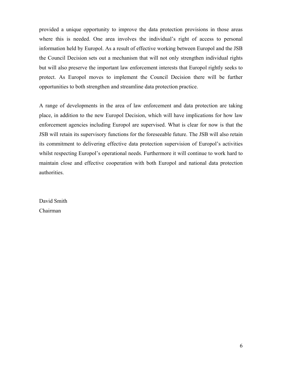provided a unique opportunity to improve the data protection provisions in those areas where this is needed. One area involves the individual's right of access to personal information held by Europol. As a result of effective working between Europol and the JSB the Council Decision sets out a mechanism that will not only strengthen individual rights but will also preserve the important law enforcement interests that Europol rightly seeks to protect. As Europol moves to implement the Council Decision there will be further opportunities to both strengthen and streamline data protection practice.

A range of developments in the area of law enforcement and data protection are taking place, in addition to the new Europol Decision, which will have implications for how law enforcement agencies including Europol are supervised. What is clear for now is that the JSB will retain its supervisory functions for the foreseeable future. The JSB will also retain its commitment to delivering effective data protection supervision of Europol's activities whilst respecting Europol's operational needs. Furthermore it will continue to work hard to maintain close and effective cooperation with both Europol and national data protection authorities.

David Smith Chairman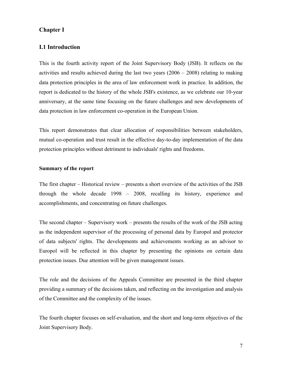#### <span id="page-6-0"></span>**Chapter I**

#### **I.1 Introduction**

This is the fourth activity report of the Joint Supervisory Body (JSB). It reflects on the activities and results achieved during the last two years  $(2006 - 2008)$  relating to making data protection principles in the area of law enforcement work in practice. In addition, the report is dedicated to the history of the whole JSB's existence, as we celebrate our 10-year anniversary, at the same time focusing on the future challenges and new developments of data protection in law enforcement co-operation in the European Union.

This report demonstrates that clear allocation of responsibilities between stakeholders, mutual co-operation and trust result in the effective day-to-day implementation of the data protection principles without detriment to individuals' rights and freedoms.

#### **Summary of the report**

The first chapter – Historical review – presents a short overview of the activities of the JSB through the whole decade 1998 – 2008, recalling its history, experience and accomplishments, and concentrating on future challenges.

The second chapter – Supervisory work – presents the results of the work of the JSB acting as the independent supervisor of the processing of personal data by Europol and protector of data subjects' rights. The developments and achievements working as an advisor to Europol will be reflected in this chapter by presenting the opinions on certain data protection issues. Due attention will be given management issues.

The role and the decisions of the Appeals Committee are presented in the third chapter providing a summary of the decisions taken, and reflecting on the investigation and analysis of the Committee and the complexity of the issues.

The fourth chapter focuses on self-evaluation, and the short and long-term objectives of the Joint Supervisory Body.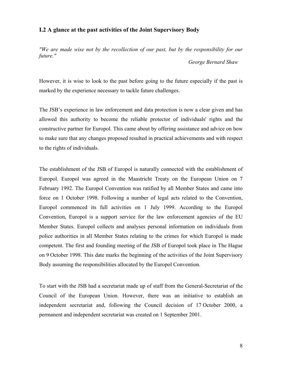#### <span id="page-7-0"></span>**I.2 A glance at the past activities of the Joint Supervisory Body**

*"We are made wise not by the recollection of our past, but by the responsibility for our future."* 

 *George Bernard Shaw* 

However, it is wise to look to the past before going to the future especially if the past is marked by the experience necessary to tackle future challenges.

The JSB's experience in law enforcement and data protection is now a clear given and has allowed this authority to become the reliable protector of individuals' rights and the constructive partner for Europol. This came about by offering assistance and advice on how to make sure that any changes proposed resulted in practical achievements and with respect to the rights of individuals.

The establishment of the JSB of Europol is naturally connected with the establishment of Europol. Europol was agreed in the Maastricht Treaty on the European Union on 7 February 1992. The Europol Convention was ratified by all Member States and came into force on 1 October 1998. Following a number of legal acts related to the Convention, Europol commenced its full activities on 1 July 1999. According to the Europol Convention, Europol is a support service for the law enforcement agencies of the EU Member States. Europol collects and analyses personal information on individuals from police authorities in all Member States relating to the crimes for which Europol is made competent. The first and founding meeting of the JSB of Europol took place in The Hague on 9 October 1998. This date marks the beginning of the activities of the Joint Supervisory Body assuming the responsibilities allocated by the Europol Convention.

To start with the JSB had a secretariat made up of staff from the General-Secretariat of the Council of the European Union. However, there was an initiative to establish an independent secretariat and, following the Council decision of 17 October 2000, a permanent and independent secretariat was created on 1 September 2001.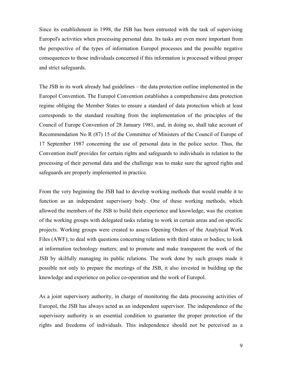Since its establishment in 1998, the JSB has been entrusted with the task of supervising Europol's activities when processing personal data. Its tasks are even more important from the perspective of the types of information Europol processes and the possible negative consequences to those individuals concerned if this information is processed without proper and strict safeguards.

The JSB in its work already had guidelines – the data protection outline implemented in the Europol Convention. The Europol Convention establishes a comprehensive data protection regime obliging the Member States to ensure a standard of data protection which at least corresponds to the standard resulting from the implementation of the principles of the Council of Europe Convention of 28 January 1981, and, in doing so, shall take account of Recommendation No R (87) 15 of the Committee of Ministers of the Council of Europe of 17 September 1987 concerning the use of personal data in the police sector. Thus, the Convention itself provides for certain rights and safeguards to individuals in relation to the processing of their personal data and the challenge was to make sure the agreed rights and safeguards are properly implemented in practice.

From the very beginning the JSB had to develop working methods that would enable it to function as an independent supervisory body. One of these working methods, which allowed the members of the JSB to build their experience and knowledge, was the creation of the working groups with delegated tasks relating to work in certain areas and on specific projects. Working groups were created to assess Opening Orders of the Analytical Work Files (AWF); to deal with questions concerning relations with third states or bodies; to look at information technology matters; and to promote and make transparent the work of the JSB by skilfully managing its public relations. The work done by such groups made it possible not only to prepare the meetings of the JSB, it also invested in building up the knowledge and experience on police co-operation and the work of Europol.

As a joint supervisory authority, in charge of monitoring the data processing activities of Europol, the JSB has always acted as an independent supervisor. The independence of the supervisory authority is an essential condition to guarantee the proper protection of the rights and freedoms of individuals. This independence should not be perceived as a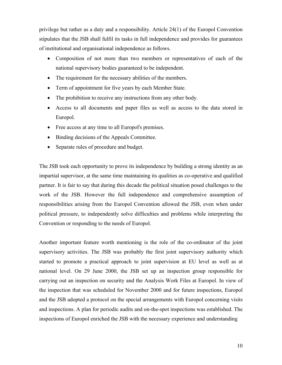privilege but rather as a duty and a responsibility. Article 24(1) of the Europol Convention stipulates that the JSB shall fulfil its tasks in full independence and provides for guarantees of institutional and organisational independence as follows.

- Composition of not more than two members or representatives of each of the national supervisory bodies guaranteed to be independent.
- The requirement for the necessary abilities of the members.
- Term of appointment for five years by each Member State.
- The prohibition to receive any instructions from any other body.
- Access to all documents and paper files as well as access to the data stored in Europol.
- Free access at any time to all Europol's premises.
- Binding decisions of the Appeals Committee.
- Separate rules of procedure and budget.

The JSB took each opportunity to prove its independence by building a strong identity as an impartial supervisor, at the same time maintaining its qualities as co-operative and qualified partner. It is fair to say that during this decade the political situation posed challenges to the work of the JSB. However the full independence and comprehensive assumption of responsibilities arising from the Europol Convention allowed the JSB, even when under political pressure, to independently solve difficulties and problems while interpreting the Convention or responding to the needs of Europol.

Another important feature worth mentioning is the role of the co-ordinator of the joint supervisory activities. The JSB was probably the first joint supervisory authority which started to promote a practical approach to joint supervision at EU level as well as at national level. On 29 June 2000, the JSB set up an inspection group responsible for carrying out an inspection on security and the Analysis Work Files at Europol. In view of the inspection that was scheduled for November 2000 and for future inspections, Europol and the JSB adopted a protocol on the special arrangements with Europol concerning visits and inspections. A plan for periodic audits and on-the-spot inspections was established. The inspections of Europol enriched the JSB with the necessary experience and understanding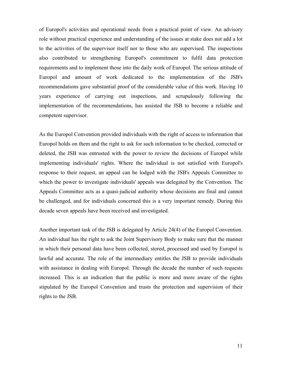of Europol's activities and operational needs from a practical point of view. An advisory role without practical experience and understanding of the issues at stake does not add a lot to the activities of the supervisor itself nor to those who are supervised. The inspections also contributed to strengthening Europol's commitment to fulfil data protection requirements and to implement those into the daily work of Europol. The serious attitude of Europol and amount of work dedicated to the implementation of the JSB's recommendations gave substantial proof of the considerable value of this work. Having 10 years experience of carrying out inspections, and scrupulously following the implementation of the recommendations, has assisted the JSB to become a reliable and competent supervisor.

As the Europol Convention provided individuals with the right of access to information that Europol holds on them and the right to ask for such information to be checked, corrected or deleted, the JSB was entrusted with the power to review the decisions of Europol while implementing individuals' rights. Where the individual is not satisfied with Europol's response to their request, an appeal can be lodged with the JSB's Appeals Committee to which the power to investigate individuals' appeals was delegated by the Convention. The Appeals Committee acts as a quasi-judicial authority whose decisions are final and cannot be challenged, and for individuals concerned this is a very important remedy. During this decade seven appeals have been received and investigated.

Another important task of the JSB is delegated by Article 24(4) of the Europol Convention. An individual has the right to ask the Joint Supervisory Body to make sure that the manner in which their personal data have been collected, stored, processed and used by Europol is lawful and accurate. The role of the intermediary entitles the JSB to provide individuals with assistance in dealing with Europol. Through the decade the number of such requests increased. This is an indication that the public is more and more aware of the rights stipulated by the Europol Convention and trusts the protection and supervision of their rights to the JSB.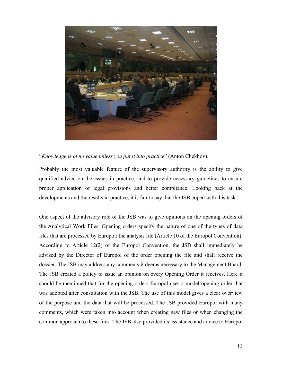

#### "*Knowledge is of no value unless you put it into practice*" (Anton Chekhov).

Probably the most valuable feature of the supervisory authority is the ability to give qualified advice on the issues in practice, and to provide necessary guidelines to ensure proper application of legal provisions and better compliance. Looking back at the developments and the results in practice, it is fair to say that the JSB coped with this task.

One aspect of the advisory role of the JSB was to give opinions on the opening orders of the Analytical Work Files. Opening orders specify the nature of one of the types of data files that are processed by Europol: the analysis file (Article 10 of the Europol Convention). According to Article 12(2) of the Europol Convention, the JSB shall immediately be advised by the Director of Europol of the order opening the file and shall receive the dossier. The JSB may address any comments it deems necessary to the Management Board. The JSB created a policy to issue an opinion on every Opening Order it receives. Here it should be mentioned that for the opening orders Europol uses a model opening order that was adopted after consultation with the JSB. The use of this model gives a clear overview of the purpose and the data that will be processed. The JSB provided Europol with many comments, which were taken into account when creating new files or when changing the common approach to these files. The JSB also provided its assistance and advice to Europol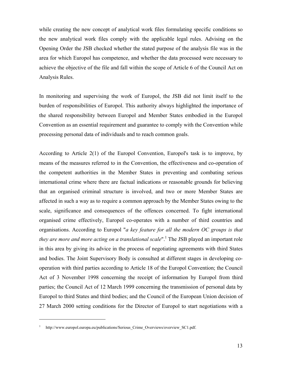while creating the new concept of analytical work files formulating specific conditions so the new analytical work files comply with the applicable legal rules. Advising on the Opening Order the JSB checked whether the stated purpose of the analysis file was in the area for which Europol has competence, and whether the data processed were necessary to achieve the objective of the file and fall within the scope of Article 6 of the Council Act on Analysis Rules.

In monitoring and supervising the work of Europol, the JSB did not limit itself to the burden of responsibilities of Europol. This authority always highlighted the importance of the shared responsibility between Europol and Member States embodied in the Europol Convention as an essential requirement and guarantee to comply with the Convention while processing personal data of individuals and to reach common goals.

According to Article 2(1) of the Europol Convention, Europol's task is to improve, by means of the measures referred to in the Convention, the effectiveness and co-operation of the competent authorities in the Member States in preventing and combating serious international crime where there are factual indications or reasonable grounds for believing that an organised criminal structure is involved, and two or more Member States are affected in such a way as to require a common approach by the Member States owing to the scale, significance and consequences of the offences concerned. To fight international organised crime effectively, Europol co-operates with a number of third countries and organisations. According to Europol "*a key feature for all the modern OC groups is that*  they are more and more acting on a translational scale".<sup>1</sup> The JSB played an important role in this area by giving its advice in the process of negotiating agreements with third States and bodies. The Joint Supervisory Body is consulted at different stages in developing cooperation with third parties according to Article 18 of the Europol Convention; the Council Act of 3 November 1998 concerning the receipt of information by Europol from third parties; the Council Act of 12 March 1999 concerning the transmission of personal data by Europol to third States and third bodies; and the Council of the European Union decision of 27 March 2000 setting conditions for the Director of Europol to start negotiations with a

<u>.</u>

<span id="page-12-0"></span><sup>1</sup> http://www.europol.europa.eu/publications/Serious Crime Overviews/overview SC1.pdf.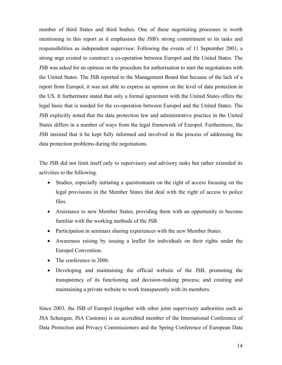number of third States and third bodies. One of these negotiating processes is worth mentioning in this report as it emphasises the JSB's strong commitment to its tasks and responsibilities as independent supervisor. Following the events of 11 September 2001, a strong urge existed to construct a co-operation between Europol and the United States. The JSB was asked for an opinion on the procedure for authorisation to start the negotiations with the United States. The JSB reported to the Management Board that because of the lack of a report from Europol, it was not able to express an opinion on the level of data protection in the US. It furthermore stated that only a formal agreement with the United States offers the legal basis that is needed for the co-operation between Europol and the United States. The JSB explicitly noted that the data protection law and administrative practice in the United States differs in a number of ways from the legal framework of Europol. Furthermore, the JSB insisted that it be kept fully informed and involved in the process of addressing the data protection problems during the negotiations.

The JSB did not limit itself only to supervisory and advisory tasks but rather extended its activities to the following.

- Studies, especially initiating a questionnaire on the right of access focusing on the legal provisions in the Member States that deal with the right of access to police files.
- Assistance to new Member States, providing them with an opportunity to become familiar with the working methods of the JSB.
- Participation in seminars sharing experiences with the new Member States.
- Awareness raising by issuing a leaflet for individuals on their rights under the Europol Convention.
- The conference in 2006.
- Developing and maintaining the official website of the JSB, promoting the transparency of its functioning and decision-making process; and creating and maintaining a private website to work transparently with its members.

Since 2003, the JSB of Europol (together with other joint supervisory authorities such as JSA Schengen, JSA Customs) is an accredited member of the International Conference of Data Protection and Privacy Commissioners and the Spring Conference of European Data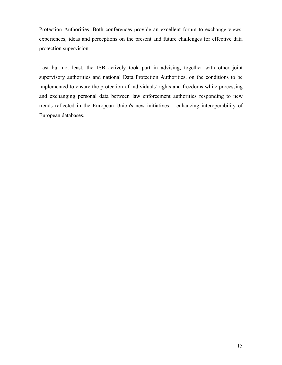Protection Authorities. Both conferences provide an excellent forum to exchange views, experiences, ideas and perceptions on the present and future challenges for effective data protection supervision.

Last but not least, the JSB actively took part in advising, together with other joint supervisory authorities and national Data Protection Authorities, on the conditions to be implemented to ensure the protection of individuals' rights and freedoms while processing and exchanging personal data between law enforcement authorities responding to new trends reflected in the European Union's new initiatives – enhancing interoperability of European databases.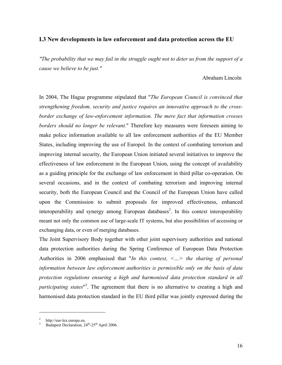#### <span id="page-15-0"></span>**I.3 New developments in law enforcement and data protection across the EU**

*"The probability that we may fail in the struggle ought not to deter us from the support of a cause we believe to be just."* 

#### Abraham Lincoln

In 2004, The Hague programme stipulated that "*The European Council is convinced that strengthening freedom, security and justice requires an innovative approach to the crossborder exchange of law-enforcement information. The mere fact that information crosses borders should no longer be relevant.*" Therefore key measures were foreseen aiming to make police information available to all law enforcement authorities of the EU Member States, including improving the use of Europol. In the context of combating terrorism and improving internal security, the European Union initiated several initiatives to improve the effectiveness of law enforcement in the European Union, using the concept of availability as a guiding principle for the exchange of law enforcement in third pillar co-operation. On several occasions, and in the context of combating terrorism and improving internal security, both the European Council and the Council of the European Union have called upon the Commission to submit proposals for improved effectiveness, enhanced interoperability and synergy among European databases<sup>[2](#page-15-1)</sup>. In this context interoperability meant not only the common use of large-scale IT systems, but also possibilities of accessing or exchanging data, or even of merging databases.

The Joint Supervisory Body together with other joint supervisory authorities and national data protection authorities during the Spring Conference of European Data Protection Authorities in 2006 emphasised that "*In this context, <…> the sharing of personal information between law enforcement authorities is permissible only on the basis of data protection regulations ensuring a high and harmonised data protection standard in all*  participating states<sup>"[3](#page-15-2)</sup>. The agreement that there is no alternative to creating a high and harmonised data protection standard in the EU third pillar was jointly expressed during the

<sup>2</sup>

<span id="page-15-2"></span><span id="page-15-1"></span>http://eur-lex.europa.eu.<br>Budapest Declaration, 24<sup>th</sup>-25<sup>th</sup> April 2006.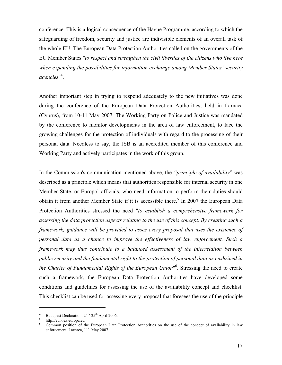conference. This is a logical consequence of the Hague Programme, according to which the safeguarding of freedom, security and justice are indivisible elements of an overall task of the whole EU. The European Data Protection Authorities called on the governments of the EU Member States "*to respect and strengthen the civil liberties of the citizens who live here when expanding the possibilities for information exchange among Member States' security agencies*" 4 [.](#page-16-0) 

Another important step in trying to respond adequately to the new initiatives was done during the conference of the European Data Protection Authorities, held in Larnaca (Cyprus), from 10-11 May 2007. The Working Party on Police and Justice was mandated by the conference to monitor developments in the area of law enforcement, to face the growing challenges for the protection of individuals with regard to the processing of their personal data. Needless to say, the JSB is an accredited member of this conference and Working Party and actively participates in the work of this group.

In the Commission's communication mentioned above, the *"principle of availability*" was described as a principle which means that authorities responsible for internal security in one Member State, or Europol officials, who need information to perform their duties should obtain it from another Member State if it is accessible there.<sup>[5](#page-16-1)</sup> In 2007 the European Data Protection Authorities stressed the need "*to establish a comprehensive framework for assessing the data protection aspects relating to the use of this concept. By creating such a framework, guidance will be provided to asses every proposal that uses the existence of personal data as a chance to improve the effectiveness of law enforcement. Such a framework may thus contribute to a balanced assessment of the interrelation between public security and the fundamental right to the protection of personal data as enshrined in the Charter of Fundamental Rights of the European Union*" [6](#page-16-2) . Stressing the need to create such a framework, the European Data Protection Authorities have developed some conditions and guidelines for assessing the use of the availability concept and checklist. This checklist can be used for assessing every proposal that foresees the use of the principle

<span id="page-16-0"></span><sup>&</sup>lt;sup>4</sup> Budapest Declaration,  $24^{\text{th}}-25^{\text{th}}$  April 2006.<br>
http://eur-lex.europa.eu.

<span id="page-16-1"></span>

<span id="page-16-2"></span>Common position of the European Data Protection Authorities on the use of the concept of availability in law enforcement, Larnaca,  $11<sup>th</sup>$  May 2007.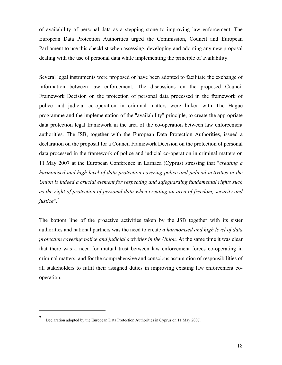of availability of personal data as a stepping stone to improving law enforcement. The European Data Protection Authorities urged the Commission, Council and European Parliament to use this checklist when assessing, developing and adopting any new proposal dealing with the use of personal data while implementing the principle of availability.

Several legal instruments were proposed or have been adopted to facilitate the exchange of information between law enforcement. The discussions on the proposed Council Framework Decision on the protection of personal data processed in the framework of police and judicial co-operation in criminal matters were linked with The Hague programme and the implementation of the "availability" principle, to create the appropriate data protection legal framework in the area of the co-operation between law enforcement authorities. The JSB, together with the European Data Protection Authorities, issued a declaration on the proposal for a Council Framework Decision on the protection of personal data processed in the framework of police and judicial co-operation in criminal matters on 11 May 2007 at the European Conference in Larnaca (Cyprus) stressing that "*creating a harmonised and high level of data protection covering police and judicial activities in the Union is indeed a crucial element for respecting and safeguarding fundamental rights such as the right of protection of personal data when creating an area of freedom, security and justice*"[.7](#page-17-0)

The bottom line of the proactive activities taken by the JSB together with its sister authorities and national partners was the need to create *a harmonised and high level of data protection covering police and judicial activities in the Union.* At the same time it was clear that there was a need for mutual trust between law enforcement forces co-operating in criminal matters, and for the comprehensive and conscious assumption of responsibilities of all stakeholders to fulfil their assigned duties in improving existing law enforcement cooperation.

<span id="page-17-0"></span><sup>7</sup> Declaration adopted by the European Data Protection Authorities in Cyprus on 11 May 2007.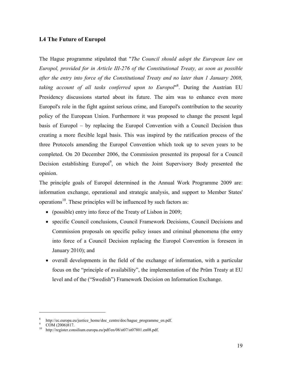#### <span id="page-18-0"></span>**I.4 The Future of Europol**

The Hague programme stipulated that "*The Council should adopt the European law on Europol, provided for in Article III-276 of the Constitutional Treaty, as soon as possible after the entry into force of the Constitutional Treaty and no later than 1 January 2008, taking account of all tasks conferred upon to Europol*" [8](#page-18-1) . During the Austrian EU Presidency discussions started about its future. The aim was to enhance even more Europol's role in the fight against serious crime, and Europol's contribution to the security policy of the European Union. Furthermore it was proposed to change the present legal basis of Europol – by replacing the Europol Convention with a Council Decision thus creating a more flexible legal basis. This was inspired by the ratification process of the three Protocols amending the Europol Convention which took up to seven years to be completed. On 20 December 2006, the Commission presented its proposal for a Council Decision establishing Europol<sup>9</sup>, on which the Joint Supervisory Body presented the opinion.

The principle goals of Europol determined in the Annual Work Programme 2009 are: information exchange, operational and strategic analysis, and support to Member States' operations<sup>10</sup>. These principles will be influenced by such factors as:

- (possible) entry into force of the Treaty of Lisbon in 2009;
- specific Council conclusions, Council Framework Decisions, Council Decisions and Commission proposals on specific policy issues and criminal phenomena (the entry into force of a Council Decision replacing the Europol Convention is foreseen in January 2010); and
- overall developments in the field of the exchange of information, with a particular focus on the "principle of availability", the implementation of the Prüm Treaty at EU level and of the ("Swedish") Framework Decision on Information Exchange.

<span id="page-18-1"></span><sup>8</sup> http://ec.europa.eu/justice\_home/doc\_centre/doc/hague\_programme\_en.pdf.

<span id="page-18-2"></span>COM (2006)817.

<span id="page-18-3"></span>http://register.consilium.europa.eu/pdf/en/08/st07/st07801.en08.pdf.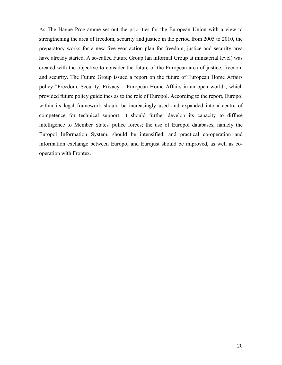As The Hague Programme set out the priorities for the European Union with a view to strengthening the area of freedom, security and justice in the period from 2005 to 2010, the preparatory works for a new five-year action plan for freedom, justice and security area have already started. A so-called Future Group (an informal Group at ministerial level) was created with the objective to consider the future of the European area of justice, freedom and security. The Future Group issued a report on the future of European Home Affairs policy "Freedom, Security, Privacy – European Home Affairs in an open world", which provided future policy guidelines as to the role of Europol. According to the report, Europol within its legal framework should be increasingly used and expanded into a centre of competence for technical support; it should further develop its capacity to diffuse intelligence to Member States' police forces; the use of Europol databases, namely the Europol Information System, should be intensified; and practical co-operation and information exchange between Europol and Eurojust should be improved, as well as cooperation with Frontex.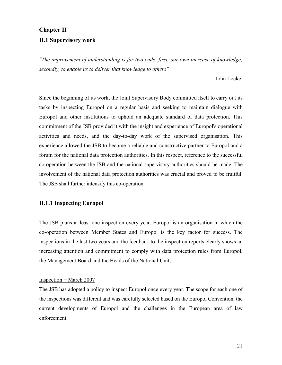#### <span id="page-20-0"></span>**Chapter II**

#### **II.1 Supervisory work**

*"The improvement of understanding is for two ends: first, our own increase of knowledge; secondly, to enable us to deliver that knowledge to others".* 

#### John Locke

Since the beginning of its work, the Joint Supervisory Body committed itself to carry out its tasks by inspecting Europol on a regular basis and seeking to maintain dialogue with Europol and other institutions to uphold an adequate standard of data protection. This commitment of the JSB provided it with the insight and experience of Europol's operational activities and needs, and the day-to-day work of the supervised organisation. This experience allowed the JSB to become a reliable and constructive partner to Europol and a forum for the national data protection authorities. In this respect, reference to the successful co-operation between the JSB and the national supervisory authorities should be made. The involvement of the national data protection authorities was crucial and proved to be fruitful. The JSB shall further intensify this co-operation.

#### **II.1.1 Inspecting Europol**

The JSB plans at least one inspection every year. Europol is an organisation in which the co-operation between Member States and Europol is the key factor for success. The inspections in the last two years and the feedback to the inspection reports clearly shows an increasing attention and commitment to comply with data protection rules from Europol, the Management Board and the Heads of the National Units.

#### Inspection − March 2007

The JSB has adopted a policy to inspect Europol once every year. The scope for each one of the inspections was different and was carefully selected based on the Europol Convention, the current developments of Europol and the challenges in the European area of law enforcement.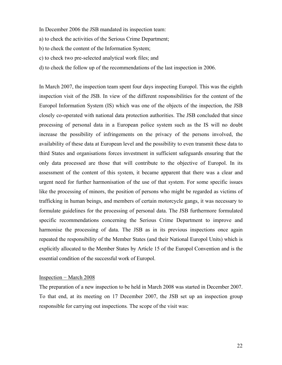- In December 2006 the JSB mandated its inspection team:
- a) to check the activities of the Serious Crime Department;
- b) to check the content of the Information System;
- c) to check two pre-selected analytical work files; and
- d) to check the follow up of the recommendations of the last inspection in 2006.

In March 2007, the inspection team spent four days inspecting Europol. This was the eighth inspection visit of the JSB. In view of the different responsibilities for the content of the Europol Information System (IS) which was one of the objects of the inspection, the JSB closely co-operated with national data protection authorities. The JSB concluded that since processing of personal data in a European police system such as the IS will no doubt increase the possibility of infringements on the privacy of the persons involved, the availability of these data at European level and the possibility to even transmit these data to third States and organisations forces investment in sufficient safeguards ensuring that the only data processed are those that will contribute to the objective of Europol. In its assessment of the content of this system, it became apparent that there was a clear and urgent need for further harmonisation of the use of that system. For some specific issues like the processing of minors, the position of persons who might be regarded as victims of trafficking in human beings, and members of certain motorcycle gangs, it was necessary to formulate guidelines for the processing of personal data. The JSB furthermore formulated specific recommendations concerning the Serious Crime Department to improve and harmonise the processing of data. The JSB as in its previous inspections once again repeated the responsibility of the Member States (and their National Europol Units) which is explicitly allocated to the Member States by Article 15 of the Europol Convention and is the essential condition of the successful work of Europol.

#### Inspection − March 2008

The preparation of a new inspection to be held in March 2008 was started in December 2007. To that end, at its meeting on 17 December 2007, the JSB set up an inspection group responsible for carrying out inspections*.* The scope of the visit was: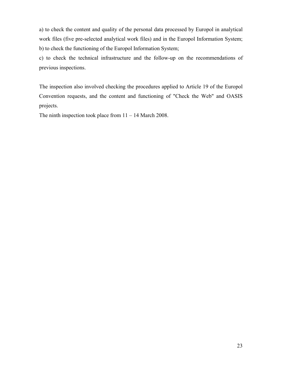a) to check the content and quality of the personal data processed by Europol in analytical work files (five pre-selected analytical work files) and in the Europol Information System; b) to check the functioning of the Europol Information System;

c) to check the technical infrastructure and the follow-up on the recommendations of previous inspections.

The inspection also involved checking the procedures applied to Article 19 of the Europol Convention requests, and the content and functioning of "Check the Web" and OASIS projects.

The ninth inspection took place from 11 – 14 March 2008.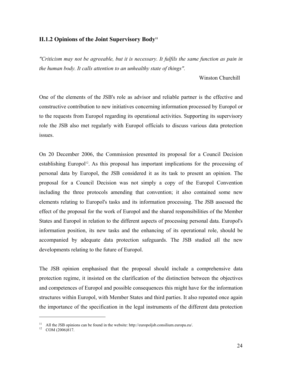#### <span id="page-23-0"></span>**II.1.2 Opinions of the Joint Supervisory Bod[y11](#page-23-1)**

*"Criticism may not be agreeable, but it is necessary. It fulfils the same function as pain in the human body. It calls attention to an unhealthy state of things".* 

Winston Churchill

One of the elements of the JSB's role as advisor and reliable partner is the effective and constructive contribution to new initiatives concerning information processed by Europol or to the requests from Europol regarding its operational activities. Supporting its supervisory role the JSB also met regularly with Europol officials to discuss various data protection issues.

On 20 December 2006, the Commission presented its proposal for a Council Decision establishing Europol<sup>12</sup>. As this proposal has important implications for the processing of personal data by Europol, the JSB considered it as its task to present an opinion. The proposal for a Council Decision was not simply a copy of the Europol Convention including the three protocols amending that convention; it also contained some new elements relating to Europol's tasks and its information processing. The JSB assessed the effect of the proposal for the work of Europol and the shared responsibilities of the Member States and Europol in relation to the different aspects of processing personal data. Europol's information position, its new tasks and the enhancing of its operational role, should be accompanied by adequate data protection safeguards. The JSB studied all the new developments relating to the future of Europol.

The JSB opinion emphasised that the proposal should include a comprehensive data protection regime, it insisted on the clarification of the distinction between the objectives and competences of Europol and possible consequences this might have for the information structures within Europol, with Member States and third parties. It also repeated once again the importance of the specification in the legal instruments of the different data protection

<u>.</u>

<span id="page-23-1"></span><sup>&</sup>lt;sup>11</sup> All the JSB opinions can be found in the website: http://europoljsb.consilium.europa.eu/.<br><sup>12</sup> COM (2006)817.

<span id="page-23-2"></span>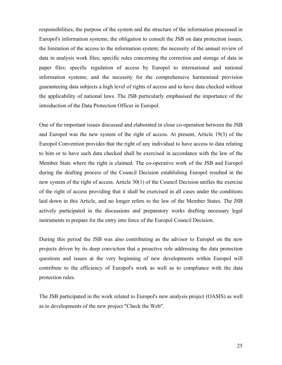responsibilities; the purpose of the system and the structure of the information processed in Europol's information systems; the obligation to consult the JSB on data protection issues; the limitation of the access to the information system; the necessity of the annual review of data in analysis work files; specific rules concerning the correction and storage of data in paper files; specific regulation of access by Europol to international and national information systems; and the necessity for the comprehensive harmonised provision guaranteeing data subjects a high level of rights of access and to have data checked without the applicability of national laws. The JSB particularly emphasised the importance of the introduction of the Data Protection Officer in Europol.

One of the important issues discussed and elaborated in close co-operation between the JSB and Europol was the new system of the right of access. At present, Article 19(3) of the Europol Convention provides that the right of any individual to have access to data relating to him or to have such data checked shall be exercised in accordance with the law of the Member State where the right is claimed. The co-operative work of the JSB and Europol during the drafting process of the Council Decision establishing Europol resulted in the new system of the right of access. Article 30(1) of the Council Decision unifies the exercise of the right of access providing that it shall be exercised in all cases under the conditions laid down in this Article, and no longer refers to the law of the Member States. The JSB actively participated in the discussions and preparatory works drafting necessary legal instruments to prepare for the entry into force of the Europol Council Decision.

During this period the JSB was also contributing as the advisor to Europol on the new projects driven by its deep conviction that a proactive role addressing the data protection questions and issues at the very beginning of new developments within Europol will contribute to the efficiency of Europol's work as well as to compliance with the data protection rules.

The JSB participated in the work related to Europol's new analysis project (OASIS) as well as to developments of the new project "Check the Web".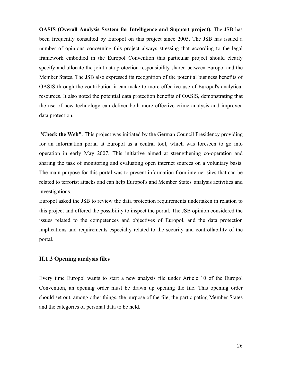<span id="page-25-0"></span>**OASIS (Overall Analysis System for Intelligence and Support project).** The JSB has been frequently consulted by Europol on this project since 2005. The JSB has issued a number of opinions concerning this project always stressing that according to the legal framework embodied in the Europol Convention this particular project should clearly specify and allocate the joint data protection responsibility shared between Europol and the Member States. The JSB also expressed its recognition of the potential business benefits of OASIS through the contribution it can make to more effective use of Europol's analytical resources. It also noted the potential data protection benefits of OASIS, demonstrating that the use of new technology can deliver both more effective crime analysis and improved data protection.

**"Check the Web"**. This project was initiated by the German Council Presidency providing for an information portal at Europol as a central tool, which was foreseen to go into operation in early May 2007. This initiative aimed at strengthening co-operation and sharing the task of monitoring and evaluating open internet sources on a voluntary basis. The main purpose for this portal was to present information from internet sites that can be related to terrorist attacks and can help Europol's and Member States' analysis activities and investigations.

Europol asked the JSB to review the data protection requirements undertaken in relation to this project and offered the possibility to inspect the portal. The JSB opinion considered the issues related to the competences and objectives of Europol, and the data protection implications and requirements especially related to the security and controllability of the portal.

#### **II.1.3 Opening analysis files**

Every time Europol wants to start a new analysis file under Article 10 of the Europol Convention, an opening order must be drawn up opening the file. This opening order should set out, among other things, the purpose of the file, the participating Member States and the categories of personal data to be held.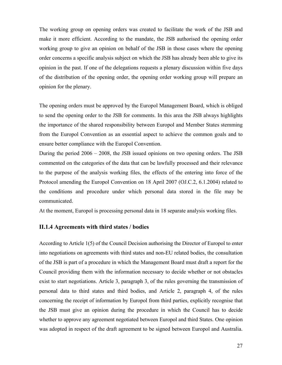<span id="page-26-0"></span>The working group on opening orders was created to facilitate the work of the JSB and make it more efficient. According to the mandate, the JSB authorised the opening order working group to give an opinion on behalf of the JSB in those cases where the opening order concerns a specific analysis subject on which the JSB has already been able to give its opinion in the past. If one of the delegations requests a plenary discussion within five days of the distribution of the opening order, the opening order working group will prepare an opinion for the plenary.

The opening orders must be approved by the Europol Management Board, which is obliged to send the opening order to the JSB for comments. In this area the JSB always highlights the importance of the shared responsibility between Europol and Member States stemming from the Europol Convention as an essential aspect to achieve the common goals and to ensure better compliance with the Europol Convention.

During the period 2006 – 2008, the JSB issued opinions on two opening orders. The JSB commented on the categories of the data that can be lawfully processed and their relevance to the purpose of the analysis working files, the effects of the entering into force of the Protocol amending the Europol Convention on 18 April 2007 (OJ.C.2, 6.1.2004) related to the conditions and procedure under which personal data stored in the file may be communicated.

At the moment, Europol is processing personal data in 18 separate analysis working files.

#### **II.1.4 Agreements with third states / bodies**

According to Article 1(5) of the Council Decision authorising the Director of Europol to enter into negotiations on agreements with third states and non-EU related bodies, the consultation of the JSB is part of a procedure in which the Management Board must draft a report for the Council providing them with the information necessary to decide whether or not obstacles exist to start negotiations. Article 3, paragraph 3, of the rules governing the transmission of personal data to third states and third bodies, and Article 2, paragraph 4, of the rules concerning the receipt of information by Europol from third parties, explicitly recognise that the JSB must give an opinion during the procedure in which the Council has to decide whether to approve any agreement negotiated between Europol and third States. One opinion was adopted in respect of the draft agreement to be signed between Europol and Australia.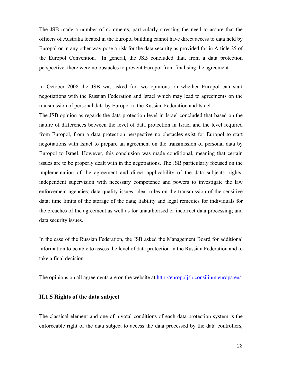<span id="page-27-0"></span>The JSB made a number of comments, particularly stressing the need to assure that the officers of Australia located in the Europol building cannot have direct access to data held by Europol or in any other way pose a risk for the data security as provided for in Article 25 of the Europol Convention. In general, the JSB concluded that, from a data protection perspective, there were no obstacles to prevent Europol from finalising the agreement.

In October 2008 the JSB was asked for two opinions on whether Europol can start negotiations with the Russian Federation and Israel which may lead to agreements on the transmission of personal data by Europol to the Russian Federation and Israel.

The JSB opinion as regards the data protection level in Israel concluded that based on the nature of differences between the level of data protection in Israel and the level required from Europol, from a data protection perspective no obstacles exist for Europol to start negotiations with Israel to prepare an agreement on the transmission of personal data by Europol to Israel. However, this conclusion was made conditional, meaning that certain issues are to be properly dealt with in the negotiations. The JSB particularly focused on the implementation of the agreement and direct applicability of the data subjects' rights; independent supervision with necessary competence and powers to investigate the law enforcement agencies; data quality issues; clear rules on the transmission of the sensitive data; time limits of the storage of the data; liability and legal remedies for individuals for the breaches of the agreement as well as for unauthorised or incorrect data processing; and data security issues.

In the case of the Russian Federation, the JSB asked the Management Board for additional information to be able to assess the level of data protection in the Russian Federation and to take a final decision.

The opinions on all agreements are on the website at<http://europoljsb.consilium.europa.eu/>

#### **II.1.5 Rights of the data subject**

The classical element and one of pivotal conditions of each data protection system is the enforceable right of the data subject to access the data processed by the data controllers,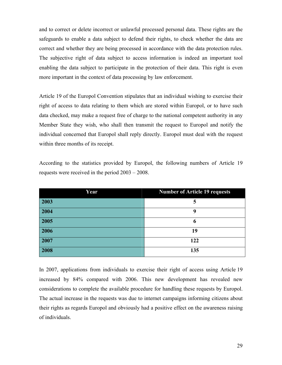and to correct or delete incorrect or unlawful processed personal data. These rights are the safeguards to enable a data subject to defend their rights, to check whether the data are correct and whether they are being processed in accordance with the data protection rules. The subjective right of data subject to access information is indeed an important tool enabling the data subject to participate in the protection of their data. This right is even more important in the context of data processing by law enforcement.

Article 19 of the Europol Convention stipulates that an individual wishing to exercise their right of access to data relating to them which are stored within Europol, or to have such data checked, may make a request free of charge to the national competent authority in any Member State they wish, who shall then transmit the request to Europol and notify the individual concerned that Europol shall reply directly. Europol must deal with the request within three months of its receipt.

| Year | <b>Number of Article 19 requests</b> |
|------|--------------------------------------|
| 2003 | 5                                    |
| 2004 | 9                                    |
| 2005 | 6                                    |
| 2006 | 19                                   |
| 2007 | 122                                  |
| 2008 | 135                                  |

According to the statistics provided by Europol, the following numbers of Article 19 requests were received in the period 2003 – 2008.

In 2007, applications from individuals to exercise their right of access using Article 19 increased by 84% compared with 2006. This new development has revealed new considerations to complete the available procedure for handling these requests by Europol. The actual increase in the requests was due to internet campaigns informing citizens about their rights as regards Europol and obviously had a positive effect on the awareness raising of individuals.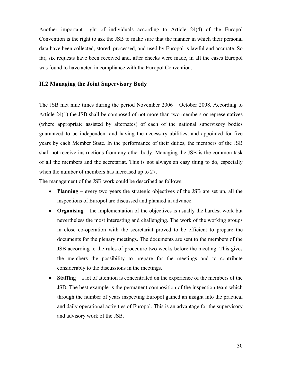<span id="page-29-0"></span>Another important right of individuals according to Article 24(4) of the Europol Convention is the right to ask the JSB to make sure that the manner in which their personal data have been collected, stored, processed, and used by Europol is lawful and accurate. So far, six requests have been received and, after checks were made, in all the cases Europol was found to have acted in compliance with the Europol Convention.

#### **II.2 Managing the Joint Supervisory Body**

The JSB met nine times during the period November 2006 – October 2008. According to Article 24(1) the JSB shall be composed of not more than two members or representatives (where appropriate assisted by alternates) of each of the national supervisory bodies guaranteed to be independent and having the necessary abilities, and appointed for five years by each Member State. In the performance of their duties, the members of the JSB shall not receive instructions from any other body. Managing the JSB is the common task of all the members and the secretariat. This is not always an easy thing to do, especially when the number of members has increased up to 27.

The management of the JSB work could be described as follows.

- **Planning** every two years the strategic objectives of the JSB are set up, all the inspections of Europol are discussed and planned in advance.
- **Organising** the implementation of the objectives is usually the hardest work but nevertheless the most interesting and challenging. The work of the working groups in close co-operation with the secretariat proved to be efficient to prepare the documents for the plenary meetings. The documents are sent to the members of the JSB according to the rules of procedure two weeks before the meeting. This gives the members the possibility to prepare for the meetings and to contribute considerably to the discussions in the meetings.
- **Staffing**  a lot of attention is concentrated on the experience of the members of the JSB. The best example is the permanent composition of the inspection team which through the number of years inspecting Europol gained an insight into the practical and daily operational activities of Europol. This is an advantage for the supervisory and advisory work of the JSB.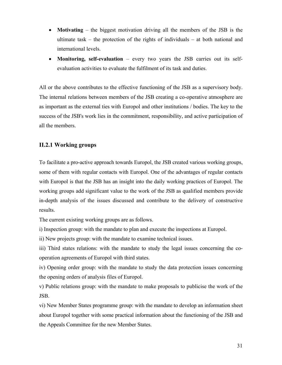- <span id="page-30-0"></span>• **Motivating** – the biggest motivation driving all the members of the JSB is the ultimate task – the protection of the rights of individuals – at both national and international levels.
- **Monitoring, self-evaluation**  every two years the JSB carries out its selfevaluation activities to evaluate the fulfilment of its task and duties.

All or the above contributes to the effective functioning of the JSB as a supervisory body. The internal relations between members of the JSB creating a co-operative atmosphere are as important as the external ties with Europol and other institutions / bodies. The key to the success of the JSB's work lies in the commitment, responsibility, and active participation of all the members.

#### **II.2.1 Working groups**

To facilitate a pro-active approach towards Europol, the JSB created various working groups, some of them with regular contacts with Europol. One of the advantages of regular contacts with Europol is that the JSB has an insight into the daily working practices of Europol. The working groups add significant value to the work of the JSB as qualified members provide in-depth analysis of the issues discussed and contribute to the delivery of constructive results.

The current existing working groups are as follows.

i) Inspection group: with the mandate to plan and execute the inspections at Europol.

ii) New projects group: with the mandate to examine technical issues.

iii) Third states relations: with the mandate to study the legal issues concerning the cooperation agreements of Europol with third states.

iv) Opening order group: with the mandate to study the data protection issues concerning the opening orders of analysis files of Europol.

v) Public relations group: with the mandate to make proposals to publicise the work of the JSB.

vi) New Member States programme group: with the mandate to develop an information sheet about Europol together with some practical information about the functioning of the JSB and the Appeals Committee for the new Member States.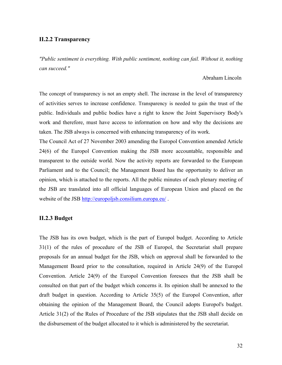#### <span id="page-31-0"></span>**II.2.2 Transparency**

*"Public sentiment is everything. With public sentiment, nothing can fail. Without it, nothing can succeed."*

#### Abraham Lincoln

The concept of transparency is not an empty shell. The increase in the level of transparency of activities serves to increase confidence. Transparency is needed to gain the trust of the public. Individuals and public bodies have a right to know the Joint Supervisory Body's work and therefore, must have access to information on how and why the decisions are taken. The JSB always is concerned with enhancing transparency of its work.

The Council Act of 27 November 2003 amending the Europol Convention amended Article 24(6) of the Europol Convention making the JSB more accountable, responsible and transparent to the outside world. Now the activity reports are forwarded to the European Parliament and to the Council; the Management Board has the opportunity to deliver an opinion, which is attached to the reports. All the public minutes of each plenary meeting of the JSB are translated into all official languages of European Union and placed on the website of the JSB <http://europoljsb.consilium.europa.eu/>.

#### **II.2.3 Budget**

The JSB has its own budget, which is the part of Europol budget. According to Article 31(1) of the rules of procedure of the JSB of Europol, the Secretariat shall prepare proposals for an annual budget for the JSB, which on approval shall be forwarded to the Management Board prior to the consultation, required in Article 24(9) of the Europol Convention. Article 24(9) of the Europol Convention foresees that the JSB shall be consulted on that part of the budget which concerns it. Its opinion shall be annexed to the draft budget in question. According to Article 35(5) of the Europol Convention, after obtaining the opinion of the Management Board, the Council adopts Europol's budget. Article 31(2) of the Rules of Procedure of the JSB stipulates that the JSB shall decide on the disbursement of the budget allocated to it which is administered by the secretariat.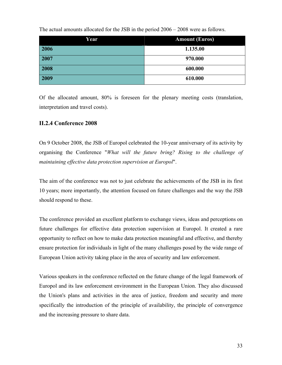| Year | <b>Amount (Euros)</b> |
|------|-----------------------|
| 2006 | 1.135.00              |
| 2007 | 970.000               |
| 2008 | 600.000               |
| 2009 | 610.000               |

<span id="page-32-0"></span>The actual amounts allocated for the JSB in the period 2006 – 2008 were as follows.

Of the allocated amount, 80% is foreseen for the plenary meeting costs (translation, interpretation and travel costs).

#### **II.2.4 Conference 2008**

On 9 October 2008, the JSB of Europol celebrated the 10-year anniversary of its activity by organising the Conference "*What will the future bring? Rising to the challenge of maintaining effective data protection supervision at Europol*".

The aim of the conference was not to just celebrate the achievements of the JSB in its first 10 years; more importantly, the attention focused on future challenges and the way the JSB should respond to these.

The conference provided an excellent platform to exchange views, ideas and perceptions on future challenges for effective data protection supervision at Europol. It created a rare opportunity to reflect on how to make data protection meaningful and effective, and thereby ensure protection for individuals in light of the many challenges posed by the wide range of European Union activity taking place in the area of security and law enforcement.

Various speakers in the conference reflected on the future change of the legal framework of Europol and its law enforcement environment in the European Union. They also discussed the Union's plans and activities in the area of justice, freedom and security and more specifically the introduction of the principle of availability, the principle of convergence and the increasing pressure to share data.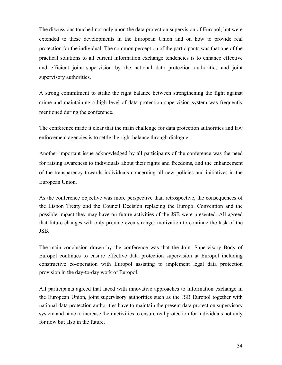The discussions touched not only upon the data protection supervision of Europol, but were extended to these developments in the European Union and on how to provide real protection for the individual. The common perception of the participants was that one of the practical solutions to all current information exchange tendencies is to enhance effective and efficient joint supervision by the national data protection authorities and joint supervisory authorities.

A strong commitment to strike the right balance between strengthening the fight against crime and maintaining a high level of data protection supervision system was frequently mentioned during the conference.

The conference made it clear that the main challenge for data protection authorities and law enforcement agencies is to settle the right balance through dialogue.

Another important issue acknowledged by all participants of the conference was the need for raising awareness to individuals about their rights and freedoms, and the enhancement of the transparency towards individuals concerning all new policies and initiatives in the European Union.

As the conference objective was more perspective than retrospective, the consequences of the Lisbon Treaty and the Council Decision replacing the Europol Convention and the possible impact they may have on future activities of the JSB were presented. All agreed that future changes will only provide even stronger motivation to continue the task of the JSB.

The main conclusion drawn by the conference was that the Joint Supervisory Body of Europol continues to ensure effective data protection supervision at Europol including constructive co-operation with Europol assisting to implement legal data protection provision in the day-to-day work of Europol.

All participants agreed that faced with innovative approaches to information exchange in the European Union, joint supervisory authorities such as the JSB Europol together with national data protection authorities have to maintain the present data protection supervisory system and have to increase their activities to ensure real protection for individuals not only for now but also in the future.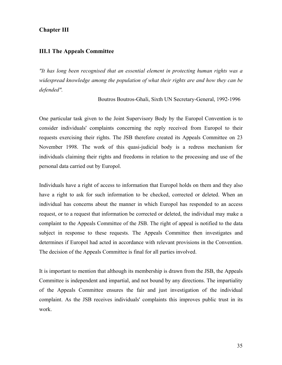#### <span id="page-34-0"></span>**Chapter III**

#### **III.1 The Appeals Committee**

*"It has long been recognised that an essential element in protecting human rights was a widespread knowledge among the population of what their rights are and how they can be defended".* 

Boutros Boutros-Ghali, Sixth UN Secretary-General, 1992-1996

One particular task given to the Joint Supervisory Body by the Europol Convention is to consider individuals' complaints concerning the reply received from Europol to their requests exercising their rights. The JSB therefore created its Appeals Committee on 23 November 1998. The work of this quasi-judicial body is a redress mechanism for individuals claiming their rights and freedoms in relation to the processing and use of the personal data carried out by Europol.

Individuals have a right of access to information that Europol holds on them and they also have a right to ask for such information to be checked, corrected or deleted. When an individual has concerns about the manner in which Europol has responded to an access request, or to a request that information be corrected or deleted, the individual may make a complaint to the Appeals Committee of the JSB. The right of appeal is notified to the data subject in response to these requests. The Appeals Committee then investigates and determines if Europol had acted in accordance with relevant provisions in the Convention. The decision of the Appeals Committee is final for all parties involved.

It is important to mention that although its membership is drawn from the JSB, the Appeals Committee is independent and impartial, and not bound by any directions. The impartiality of the Appeals Committee ensures the fair and just investigation of the individual complaint. As the JSB receives individuals' complaints this improves public trust in its work.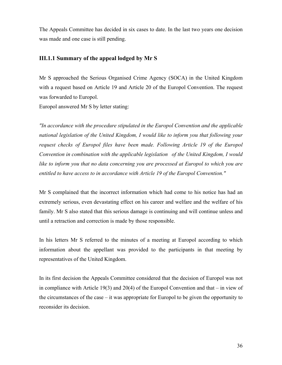<span id="page-35-0"></span>The Appeals Committee has decided in six cases to date. In the last two years one decision was made and one case is still pending.

#### **III.1.1 Summary of the appeal lodged by Mr S**

Mr S approached the Serious Organised Crime Agency (SOCA) in the United Kingdom with a request based on Article 19 and Article 20 of the Europol Convention. The request was forwarded to Europol.

Europol answered Mr S by letter stating:

*"In accordance with the procedure stipulated in the Europol Convention and the applicable national legislation of the United Kingdom, I would like to inform you that following your request checks of Europol files have been made. Following Article 19 of the Europol Convention in combination with the applicable legislation of the United Kingdom, I would like to inform you that no data concerning you are processed at Europol to which you are entitled to have access to in accordance with Article 19 of the Europol Convention."*

Mr S complained that the incorrect information which had come to his notice has had an extremely serious, even devastating effect on his career and welfare and the welfare of his family. Mr S also stated that this serious damage is continuing and will continue unless and until a retraction and correction is made by those responsible.

In his letters Mr S referred to the minutes of a meeting at Europol according to which information about the appellant was provided to the participants in that meeting by representatives of the United Kingdom.

In its first decision the Appeals Committee considered that the decision of Europol was not in compliance with Article 19(3) and 20(4) of the Europol Convention and that – in view of the circumstances of the case – it was appropriate for Europol to be given the opportunity to reconsider its decision.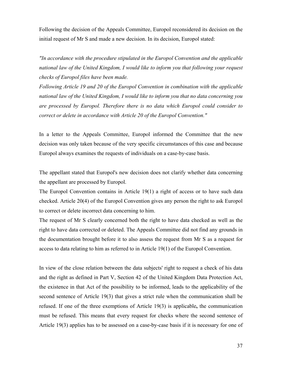Following the decision of the Appeals Committee, Europol reconsidered its decision on the initial request of Mr S and made a new decision. In its decision, Europol stated:

*"In accordance with the procedure stipulated in the Europol Convention and the applicable national law of the United Kingdom, I would like to inform you that following your request checks of Europol files have been made.* 

*Following Article 19 and 20 of the Europol Convention in combination with the applicable national law of the United Kingdom, I would like to inform you that no data concerning you are processed by Europol. Therefore there is no data which Europol could consider to correct or delete in accordance with Article 20 of the Europol Convention."* 

In a letter to the Appeals Committee, Europol informed the Committee that the new decision was only taken because of the very specific circumstances of this case and because Europol always examines the requests of individuals on a case-by-case basis.

The appellant stated that Europol's new decision does not clarify whether data concerning the appellant are processed by Europol.

The Europol Convention contains in Article 19(1) a right of access or to have such data checked. Article 20(4) of the Europol Convention gives any person the right to ask Europol to correct or delete incorrect data concerning to him.

The request of Mr S clearly concerned both the right to have data checked as well as the right to have data corrected or deleted. The Appeals Committee did not find any grounds in the documentation brought before it to also assess the request from Mr S as a request for access to data relating to him as referred to in Article 19(1) of the Europol Convention.

In view of the close relation between the data subjects' right to request a check of his data and the right as defined in Part V, Section 42 of the United Kingdom Data Protection Act, the existence in that Act of the possibility to be informed, leads to the applicability of the second sentence of Article 19(3) that gives a strict rule when the communication shall be refused. If one of the three exemptions of Article 19(3) is applicable**,** the communication must be refused. This means that every request for checks where the second sentence of Article 19(3) applies has to be assessed on a case-by-case basis if it is necessary for one of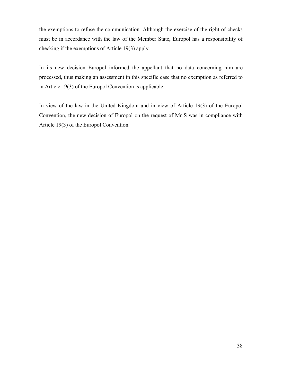the exemptions to refuse the communication. Although the exercise of the right of checks must be in accordance with the law of the Member State, Europol has a responsibility of checking if the exemptions of Article 19(3) apply.

In its new decision Europol informed the appellant that no data concerning him are processed, thus making an assessment in this specific case that no exemption as referred to in Article 19(3) of the Europol Convention is applicable.

In view of the law in the United Kingdom and in view of Article 19(3) of the Europol Convention, the new decision of Europol on the request of Mr S was in compliance with Article 19(3) of the Europol Convention.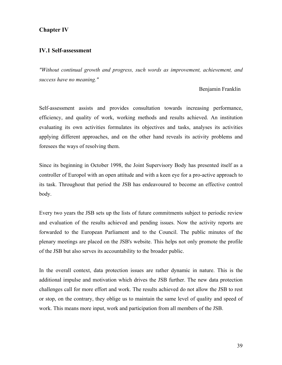#### <span id="page-38-0"></span>**Chapter IV**

#### **IV.1 Self-assessment**

*"Without continual growth and progress, such words as improvement, achievement, and success have no meaning."* 

#### Benjamin Franklin

Self-assessment assists and provides consultation towards increasing performance, efficiency, and quality of work, working methods and results achieved. An institution evaluating its own activities formulates its objectives and tasks, analyses its activities applying different approaches, and on the other hand reveals its activity problems and foresees the ways of resolving them.

Since its beginning in October 1998, the Joint Supervisory Body has presented itself as a controller of Europol with an open attitude and with a keen eye for a pro-active approach to its task. Throughout that period the JSB has endeavoured to become an effective control body.

Every two years the JSB sets up the lists of future commitments subject to periodic review and evaluation of the results achieved and pending issues. Now the activity reports are forwarded to the European Parliament and to the Council. The public minutes of the plenary meetings are placed on the JSB's website. This helps not only promote the profile of the JSB but also serves its accountability to the broader public.

In the overall context, data protection issues are rather dynamic in nature. This is the additional impulse and motivation which drives the JSB further. The new data protection challenges call for more effort and work. The results achieved do not allow the JSB to rest or stop, on the contrary, they oblige us to maintain the same level of quality and speed of work. This means more input, work and participation from all members of the JSB.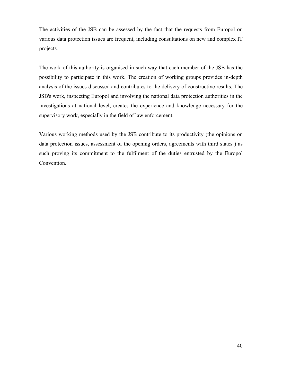The activities of the JSB can be assessed by the fact that the requests from Europol on various data protection issues are frequent, including consultations on new and complex IT projects.

The work of this authority is organised in such way that each member of the JSB has the possibility to participate in this work. The creation of working groups provides in-depth analysis of the issues discussed and contributes to the delivery of constructive results. The JSB's work, inspecting Europol and involving the national data protection authorities in the investigations at national level, creates the experience and knowledge necessary for the supervisory work, especially in the field of law enforcement.

Various working methods used by the JSB contribute to its productivity (the opinions on data protection issues, assessment of the opening orders, agreements with third states ) as such proving its commitment to the fulfilment of the duties entrusted by the Europol Convention.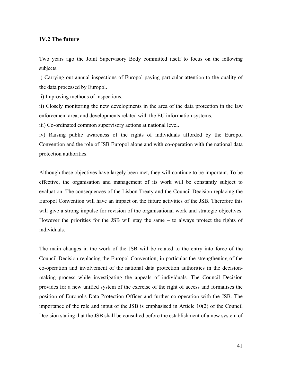#### <span id="page-40-0"></span>**IV.2 The future**

Two years ago the Joint Supervisory Body committed itself to focus on the following subjects.

i) Carrying out annual inspections of Europol paying particular attention to the quality of the data processed by Europol.

ii) Improving methods of inspections.

ii) Closely monitoring the new developments in the area of the data protection in the law enforcement area, and developments related with the EU information systems.

iii) Co-ordinated common supervisory actions at national level.

iv) Raising public awareness of the rights of individuals afforded by the Europol Convention and the role of JSB Europol alone and with co-operation with the national data protection authorities.

Although these objectives have largely been met, they will continue to be important. To be effective, the organisation and management of its work will be constantly subject to evaluation. The consequences of the Lisbon Treaty and the Council Decision replacing the Europol Convention will have an impact on the future activities of the JSB. Therefore this will give a strong impulse for revision of the organisational work and strategic objectives. However the priorities for the JSB will stay the same – to always protect the rights of individuals.

The main changes in the work of the JSB will be related to the entry into force of the Council Decision replacing the Europol Convention, in particular the strengthening of the co-operation and involvement of the national data protection authorities in the decisionmaking process while investigating the appeals of individuals. The Council Decision provides for a new unified system of the exercise of the right of access and formalises the position of Europol's Data Protection Officer and further co-operation with the JSB. The importance of the role and input of the JSB is emphasised in Article 10(2) of the Council Decision stating that the JSB shall be consulted before the establishment of a new system of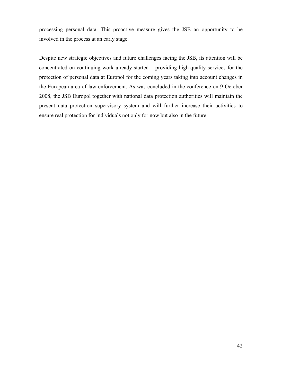processing personal data. This proactive measure gives the JSB an opportunity to be involved in the process at an early stage.

Despite new strategic objectives and future challenges facing the JSB, its attention will be concentrated on continuing work already started – providing high-quality services for the protection of personal data at Europol for the coming years taking into account changes in the European area of law enforcement. As was concluded in the conference on 9 October 2008, the JSB Europol together with national data protection authorities will maintain the present data protection supervisory system and will further increase their activities to ensure real protection for individuals not only for now but also in the future.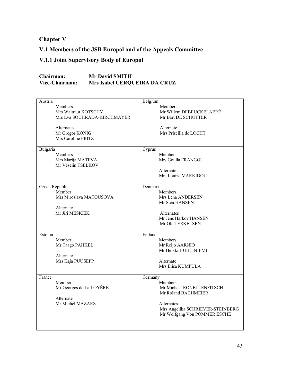<span id="page-42-0"></span>**Chapter V** 

# **V.1 Members of the JSB Europol and of the Appeals Committee**

# **V.1.1 Joint Supervisory Body of Europol**

| Chairman:      | <b>Mr David SMITH</b>        |
|----------------|------------------------------|
| Vice-Chairman: | Mrs Isabel CERQUEIRA DA CRUZ |

| Austria<br><b>Members</b><br>Mrs Waltraut KOTSCHY<br>Mrs Eva SOUHRADA-KIRCHMAYER<br>Alternates<br>Mr Gregor KÖNIG<br>Mrs Caroline FRITZ | Belgium<br><b>Members</b><br>Mr Willem DEBEUCKELAERÉ<br>Mr Bart DE SCHUTTER<br>Alternate<br>Mrs Priscilla de LOCHT                                              |
|-----------------------------------------------------------------------------------------------------------------------------------------|-----------------------------------------------------------------------------------------------------------------------------------------------------------------|
| Bulgaria<br><b>Members</b><br>Mrs Marija MATEVA<br>Mr Veselin TSELKOV                                                                   | Cyprus<br>Member<br>Mrs Goulla FRANGOU<br>Alternate<br>Mrs Louiza MARKIDOU                                                                                      |
| Czech Republic<br>Member<br>Mrs Miroslava MATOUŠOVÁ<br>Alternate<br>Mr Jiri MESICEK                                                     | Denmark<br><b>Members</b><br>Mrs Lena ANDERSEN<br>Mr Sten HANSEN<br><b>Alternates</b><br>Mr Jens Harkov HANSEN<br>Mr Ole TERKELSEN                              |
| Estonia<br>Member<br>Mr Taago PÄHKEL<br>Alternate<br>Mrs Kaja PUUSEPP                                                                   | Finland<br><b>Members</b><br>Mr Reijo AARNIO<br>Mr Heikki HUHTINIEMI<br>Alternate<br>Mrs Elisa KUMPULA                                                          |
| France<br>Member<br>Mr Georges de La LOYÈRE<br>Alternate<br>Mr Michel MAZARS                                                            | Germany<br>Members<br>Mr Michael RONELLENFITSCH<br>Mr Roland BACHMEIER<br><b>Alternates</b><br>Mrs Angelika SCHRIEVER-STEINBERG<br>Mr Wolfgang Von POMMER ESCHE |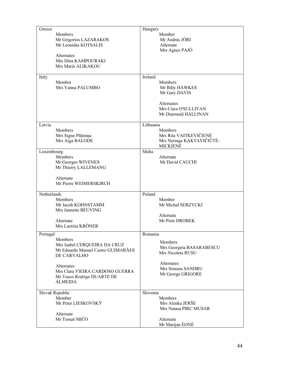| Greece                                            | Hungary                            |
|---------------------------------------------------|------------------------------------|
| Members                                           | Member                             |
| Mr Grigorios LAZARAKOS                            | Mr András JÓRI                     |
| Mr Leonidas KOTSALIS                              | Alternate                          |
|                                                   | Mrs Agnes PAJÓ                     |
| <b>Alternates</b>                                 |                                    |
| Mrs Dina KAMPOURAKI<br>Mrs Maria ALIKAKOU         |                                    |
|                                                   |                                    |
| Italy                                             | Ireland                            |
| Member                                            | <b>Members</b>                     |
| Mrs Vanna PALUMBO                                 | Mr Billy HAWKES                    |
|                                                   | Mr Gary DAVIS                      |
|                                                   |                                    |
|                                                   | Alternates<br>Mrs Ciara O'SULLIVAN |
|                                                   | Mr Diarmuid HALLINAN               |
|                                                   |                                    |
| Latvia                                            | Lithuania                          |
| Members                                           | Members                            |
| Mrs Signe Plūmiņa                                 | Mrs Rita VAITKEVIČIENĖ             |
| Mrs Aiga BALODE                                   | Mrs Neringa KAKTAVIČIŪTĖ-          |
| Luxembourg                                        | <b>MICKIENĖ</b><br>Malta           |
| Members                                           | Alternate                          |
| Mr Georges WIVENES                                | Mr David CAUCHI                    |
| Mr Thierry LALLEMANG                              |                                    |
|                                                   |                                    |
| Alternate                                         |                                    |
| Mr Pierre WEIMERSKIRCH                            |                                    |
| Netherlands                                       | Poland                             |
| Members                                           | Member                             |
| Mr Jacob KOHNSTAMM                                | Mr Michał SERZYCKI                 |
| Mrs Jannette BEUVING                              |                                    |
|                                                   | Alternate                          |
| Alternate<br>Mrs Laetitia KRÖNER                  | Mr Piotr DROBEK                    |
|                                                   |                                    |
| Portugal                                          | Romania                            |
| Members                                           | Members                            |
| Mrs Isabel CERQUEIRA DA CRUZ                      | Mrs Georgeta BASARABESCU           |
| Mr Eduardo Manuel Castro GUIMARĀES<br>DE CARVALHO | Mrs Nicoleta RUSU                  |
|                                                   |                                    |
| Alternates                                        | Alternates                         |
| Mrs Clara VIEIRA CARDOSO GUERRA                   | Mrs Simona SANDRU                  |
| Mr Vasco Rodrigo DUARTE DE                        | Mr George GRIGORE                  |
| <b>ALMEIDA</b>                                    |                                    |
|                                                   | Slovenia                           |
| Slovak Republic<br>Member                         | <b>Members</b>                     |
| Mr Peter LIESKOVSKÝ                               | Mrs Alenka JERŠE                   |
|                                                   | Mrs Natasa PIRC MUSAR              |
| Alternate                                         |                                    |
| Mr Tomaš MIČO                                     | Alternate                          |
|                                                   | Mr Marijan ÈONÈ                    |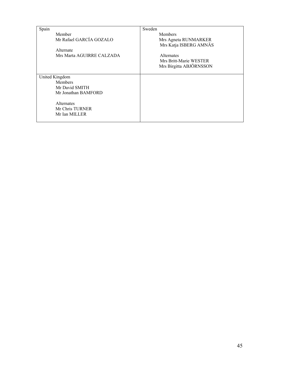| Spain                     | Sweden                  |
|---------------------------|-------------------------|
| Member                    | <b>Members</b>          |
| Mr Rafael GARCÍA GOZALO   | Mrs Agneta RUNMARKER    |
|                           | Mrs Katja ISBERG AMNÄS  |
| Alternate                 |                         |
| Mrs Marta AGUIRRE CALZADA | <b>Alternates</b>       |
|                           | Mrs Britt-Marie WESTER  |
|                           | Mrs Birgitta ABJÖRNSSON |
|                           |                         |
| United Kingdom            |                         |
| <b>Members</b>            |                         |
| Mr David SMITH            |                         |
| Mr Jonathan BAMFORD       |                         |
|                           |                         |
| <b>Alternates</b>         |                         |
| Mr Chris TURNER           |                         |
| Mr Ian MILLER             |                         |
|                           |                         |
|                           |                         |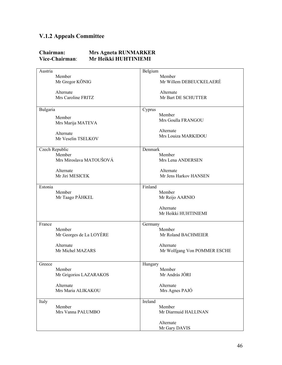# <span id="page-45-0"></span>**V.1.2 Appeals Committee**

#### **Chairman: Mrs Agneta RUNMARKER Vice-Chairman**: **Mr Heikki HUHTINIEMI**

| Austria                 | Belgium                      |
|-------------------------|------------------------------|
| Member                  | Member                       |
| Mr Gregor KÖNIG         | Mr Willem DEBEUCKELAERÉ      |
|                         |                              |
| Alternate               | Alternate                    |
| Mrs Caroline FRITZ      | Mr Bart DE SCHUTTER          |
|                         |                              |
| Bulgaria                | Cyprus                       |
| Member                  | Member                       |
| Mrs Marija MATEVA       | Mrs Goulla FRANGOU           |
|                         |                              |
| Alternate               | Alternate                    |
| Mr Veselin TSELKOV      | Mrs Louiza MARKIDOU          |
|                         |                              |
| Czech Republic          | Denmark                      |
| Member                  | Member                       |
| Mrs Miroslava MATOUŠOVÁ | Mrs Lena ANDERSEN            |
|                         |                              |
| Alternate               | Alternate                    |
| Mr Jiri MESICEK         | Mr Jens Harkov HANSEN        |
|                         |                              |
| Estonia                 | Finland                      |
| Member                  | Member                       |
| Mr Taago PÄHKEL         | Mr Reijo AARNIO              |
|                         | Alternate                    |
|                         | Mr Heikki HUHTINIEMI         |
|                         |                              |
| France                  | Germany                      |
| Member                  | Member                       |
| Mr Georges de La LOYÈRE | Mr Roland BACHMEIER          |
|                         |                              |
| Alternate               | Alternate                    |
| Mr Michel MAZARS        | Mr Wolfgang Von POMMER ESCHE |
|                         |                              |
| Greece                  | Hungary                      |
| Member                  | Member                       |
| Mr Grigorios LAZARAKOS  | Mr András JÓRI               |
|                         |                              |
| Alternate               | Alternate                    |
| Mrs Maria ALIKAKOU      | Mrs Agnes PAJÓ               |
|                         |                              |
| Italy                   | Ireland                      |
| Member                  | Member                       |
| Mrs Vanna PALUMBO       | Mr Diarmuid HALLINAN         |
|                         |                              |
|                         | Alternate                    |
|                         | Mr Gary DAVIS                |